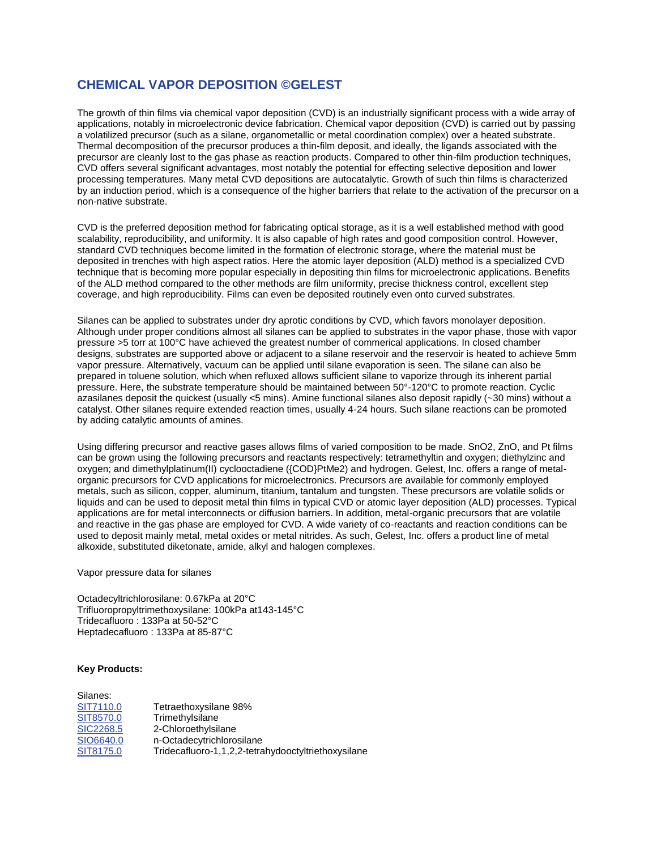# **CHEMICAL VAPOR DEPOSITION ©GELEST**

The growth of thin films via chemical vapor deposition (CVD) is an industrially significant process with a wide array of applications, notably in microelectronic device fabrication. Chemical vapor deposition (CVD) is carried out by passing a volatilized precursor (such as a silane, organometallic or metal coordination complex) over a heated substrate. Thermal decomposition of the precursor produces a thin-film deposit, and ideally, the ligands associated with the precursor are cleanly lost to the gas phase as reaction products. Compared to other thin-film production techniques, CVD offers several significant advantages, most notably the potential for effecting selective deposition and lower processing temperatures. Many metal CVD depositions are autocatalytic. Growth of such thin films is characterized by an induction period, which is a consequence of the higher barriers that relate to the activation of the precursor on a non-native substrate.

CVD is the preferred deposition method for fabricating optical storage, as it is a well established method with good scalability, reproducibility, and uniformity. It is also capable of high rates and good composition control. However, standard CVD techniques become limited in the formation of electronic storage, where the material must be deposited in trenches with high aspect ratios. Here the atomic layer deposition (ALD) method is a specialized CVD technique that is becoming more popular especially in depositing thin films for microelectronic applications. Benefits of the ALD method compared to the other methods are film uniformity, precise thickness control, excellent step coverage, and high reproducibility. Films can even be deposited routinely even onto curved substrates.

Silanes can be applied to substrates under dry aprotic conditions by CVD, which favors monolayer deposition. Although under proper conditions almost all silanes can be applied to substrates in the vapor phase, those with vapor pressure >5 torr at 100°C have achieved the greatest number of commerical applications. In closed chamber designs, substrates are supported above or adjacent to a silane reservoir and the reservoir is heated to achieve 5mm vapor pressure. Alternatively, vacuum can be applied until silane evaporation is seen. The silane can also be prepared in toluene solution, which when refluxed allows sufficient silane to vaporize through its inherent partial pressure. Here, the substrate temperature should be maintained between 50°-120°C to promote reaction. Cyclic azasilanes deposit the quickest (usually <5 mins). Amine functional silanes also deposit rapidly (~30 mins) without a catalyst. Other silanes require extended reaction times, usually 4-24 hours. Such silane reactions can be promoted by adding catalytic amounts of amines.

Using differing precursor and reactive gases allows films of varied composition to be made. SnO2, ZnO, and Pt films can be grown using the following precursors and reactants respectively: tetramethyltin and oxygen; diethylzinc and oxygen; and dimethylplatinum(II) cyclooctadiene ({COD}PtMe2) and hydrogen. Gelest, Inc. offers a range of metalorganic precursors for CVD applications for microelectronics. Precursors are available for commonly employed metals, such as silicon, copper, aluminum, titanium, tantalum and tungsten. These precursors are volatile solids or liquids and can be used to deposit metal thin films in typical CVD or atomic layer deposition (ALD) processes. Typical applications are for metal interconnects or diffusion barriers. In addition, metal-organic precursors that are volatile and reactive in the gas phase are employed for CVD. A wide variety of co-reactants and reaction conditions can be used to deposit mainly metal, metal oxides or metal nitrides. As such, Gelest, Inc. offers a product line of metal alkoxide, substituted diketonate, amide, alkyl and halogen complexes.

Vapor pressure data for silanes

Octadecyltrichlorosilane: 0.67kPa at 20°C Trifluoropropyltrimethoxysilane: 100kPa at143-145°C Tridecafluoro : 133Pa at 50-52°C Heptadecafluoro : 133Pa at 85-87°C

#### **Key Products:**

| Silanes:  |                                                     |
|-----------|-----------------------------------------------------|
| SIT7110.0 | Tetraethoxysilane 98%                               |
| SIT8570.0 | Trimethylsilane                                     |
| SIC2268.5 | 2-Chloroethylsilane                                 |
| SIO6640.0 | n-Octadecytrichlorosilane                           |
| SIT8175.0 | Tridecafluoro-1,1,2,2-tetrahydooctyltriethoxysilane |